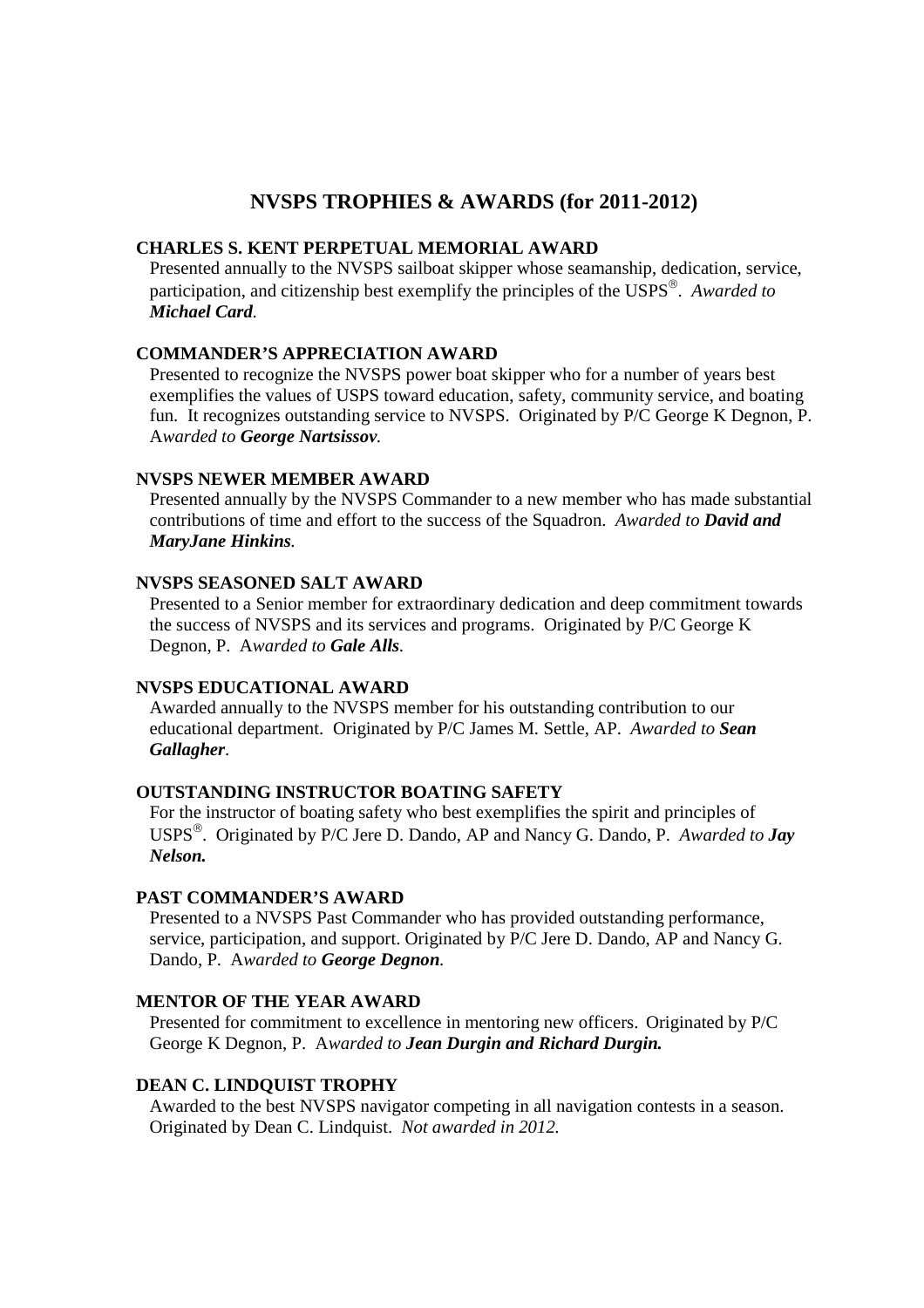# **NVSPS TROPHIES & AWARDS (for 2011-2012)**

## **CHARLES S. KENT PERPETUAL MEMORIAL AWARD**

Presented annually to the NVSPS sailboat skipper whose seamanship, dedication, service, participation, and citizenship best exemplify the principles of the USPS . *Awarded to Michael Card.* 

# **COMMANDER'S APPRECIATION AWARD**

Presented to recognize the NVSPS power boat skipper who for a number of years best exemplifies the values of USPS toward education, safety, community service, and boating fun. It recognizes outstanding service to NVSPS. Originated by P/C George K Degnon, P. A*warded to George Nartsissov.* 

#### **NVSPS NEWER MEMBER AWARD**

Presented annually by the NVSPS Commander to a new member who has made substantial contributions of time and effort to the success of the Squadron. *Awarded to David and MaryJane Hinkins.* 

#### **NVSPS SEASONED SALT AWARD**

Presented to a Senior member for extraordinary dedication and deep commitment towards the success of NVSPS and its services and programs. Originated by P/C George K Degnon, P. A*warded to Gale Alls.* 

### **NVSPS EDUCATIONAL AWARD**

Awarded annually to the NVSPS member for his outstanding contribution to our educational department. Originated by P/C James M. Settle, AP. *Awarded to Sean Gallagher*.

# **OUTSTANDING INSTRUCTOR BOATING SAFETY**

For the instructor of boating safety who best exemplifies the spirit and principles of USPS . Originated by P/C Jere D. Dando, AP and Nancy G. Dando, P. *Awarded to Jay Nelson.* 

# **PAST COMMANDER'S AWARD**

Presented to a NVSPS Past Commander who has provided outstanding performance, service, participation, and support. Originated by P/C Jere D. Dando, AP and Nancy G. Dando, P. A*warded to George Degnon.* 

# **MENTOR OF THE YEAR AWARD**

Presented for commitment to excellence in mentoring new officers. Originated by P/C George K Degnon, P. A*warded to Jean Durgin and Richard Durgin.*

# **DEAN C. LINDQUIST TROPHY**

Awarded to the best NVSPS navigator competing in all navigation contests in a season. Originated by Dean C. Lindquist. *Not awarded in 2012.*